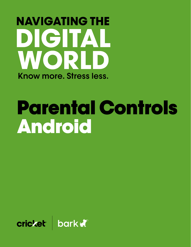## **NAVIGATING THE** DIGITAL WORLD Know more, Stress less.

# Parental Controls Android

cricket bark a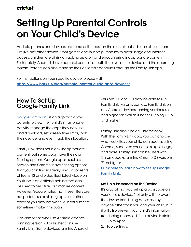## **cricket**

## **Setting Up Parental Controls on Your Child's Device**

Android phones and devices are some of the best on the market, but kids can abuse them just like any other device. From games and in-app purchases to data usage and internet access, children are at risk of racking up a bill and encountering inappropriate content. Fortunately, Androids have parental controls at both the level of the device and the operating system. Parents can also manage their children's accounts through the Family Link app.

For instructions on your specific device, please visit **<https://www.bark.us/blog/parental-control-guide-apps-devices/>**

## **How To Set Up Google Family Link**

[Google Family Link](https://www.bark.us/guides/app-management-google-family-link) is an app that allows parents to view their child's smartphone activity, manage the apps they can use and download, set screen-time limits, lock their device, and even track their location.

Family Link does not block inappropriate content, but some apps have their own filtering options. Google apps, such as Search and Chrome, have filtering options that you can find in Family Link. For parents of teens 13 and older, Restricted Mode on YouTube is an optional setting that can be used to help filter out mature content. However, Google notes that these filters are not perfect, so explicit, graphic, or other content you may not want your child to see sometimes make it through.

Kids and teens who use Android devices running version 7.0 or higher can use Family Link. Some devices running Android versions 5.0 and 6.0 may be able to run Family Link. Parents can use Family Link on any Android devices running versions 4.4 and higher as well as iPhones running iOS 9 and higher.

Family Link also runs on Chromebook. With the Family Link app, you can choose what websites your child can access using Chrome, supervise your child's app usage, and more. Family Link can be used with Chromebooks running Chrome OS versions 71 or higher.

**[Click here to learn how to set up Google](https://www.bark.us/guides/app-management-google-family-link)  [Family Link.](https://www.bark.us/guides/app-management-google-family-link)**

#### **Set Up a Passcode on the Device**

It's crucial that you set up a passcode on your child's device. Not only will it prevent the device from being accessed by anyone other than you and your child, but it will also prevent your child's information from being accessed if the device is stolen.

- 1. Go to Apps.
- 2. Tap Settings.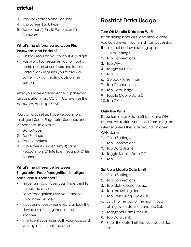## **cricket**

- 3. Tap Lock Screen and Security.
- 4. Tap Screen Lock Type.
- 5. Tap either A) Pin, B) Pattern, or C) Password.

#### **What's the difference between Pin, Password, and Pattern?**

- Pin lock requires you to input 4-16 digits.
- Password lock requires you to input a combination of numbers and letters.
- Pattern lock requires you to draw a pattern by connecting dots on the screen.

After you have entered either a password, pin, or pattern, tap CONTINUE, re-enter the password, and tap DONE.

You can also set up Face Recognition, Intelligent Scan, Fingerprint Scanner, and Iris Scanner. To do this:

- 1. Go to Apps.
- 2. Tap Settings.
- 3. Tap Biometrics.
- 4. Tap either A) Fingerprint, B) Face Recognition, C) Intelligent Scan, or D) Iris Scanner

#### **What's the difference between Fingerprint, Face Recognition, Intelligent Scan, and Iris Scanner?**

- Fingerprint scan uses your fingerprint to unlock the device.
- Face Recognition uses your face to unlock the device.
- Iris Scanner uses your eyes to unlock the device by pointing them at the iris scanner.
- Intelligent Scan uses both your face and your eyes to unlock the device.

## **Restrict Data Usage**

#### **Turn Off Mobile Data and Wi-Fi**

By disabling both Wi-Fi and mobile data, you can prevent your child from accessing the internet or downloading apps.

- 1. Go to Settings.
- 2. Tap Connections.
- 3. Tap Wi-Fi.
- 4. Toggle Wi-Fi Off.
- 5. Tap OK.
- 6. Go back to Settings.
- 7. Tap Connections.
- 8. Tap Data Usage.
- 9. Toggle Mobile Data Off.
- 10. Tap OK.

#### **Only Use Wi-Fi**

If you turn mobile data off but leave Wi-Fi on, you will restrict your child from using the internet unless they are around an open Wi-Fi signal.

- 1. Go to Settings.
- 2. Tap Connections.
- 3. Tap Data Usage.
- 4. Toggle Mobile Data Off.
- 5. Tap OK.

#### **Set Up a Mobile Data Limit**

- 1. Go to Settings.
- 2. Tap Connections.
- 3. Tap Mobile Data Usage.
- 4. Tap the Settings icon
- 5. Tap Start Billing Cycle On.
- 6. Scroll to the day of the month your billing cycle starts on and tap Set.
- 7. Toggle Set Data Limit On.
- 8. Tap Data Limit.
- 9. Enter the data limit that you would like to set.